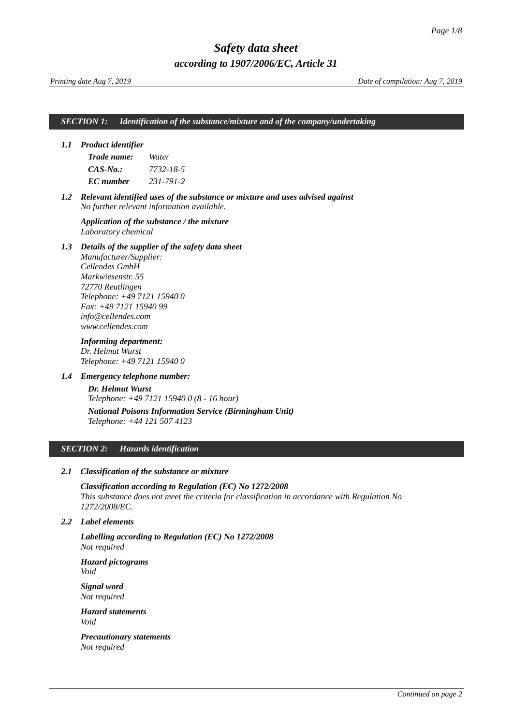*Printing date Aug 7, 2019 Date of compilation: Aug 7, 2019*

#### *SECTION 1: Identification of the substance/mixture and of the company/undertaking*

#### *1.1 Product identifier*

<span id="page-0-0"></span>

| Trade name: | Water     |
|-------------|-----------|
| CAS-No.:    | 7732-18-5 |
| EC number   | 231-791-2 |

*1.2 Relevant identified uses of the substance or mixture and uses advised against No further relevant information available.*

*Application of the substance / the mixture Laboratory chemical*

#### *1.3 Details of the supplier of the safety data sheet*

*Manufacturer/Supplier: Cellendes GmbH Markwiesenstr. 55 72770 Reutlingen Telephone: +49 7121 15940 0 Fax: +49 7121 15940 99 info@cellendes.com www.cellendes.com*

*Informing department: Dr. Helmut Wurst Telephone: +49 7121 15940 0*

#### *1.4 Emergency telephone number:*

*Dr. Helmut Wurst Telephone: +49 7121 15940 0 (8 - 16 hour) National Poisons Information Service (Birmingham Unit) Telephone: +44 121 507 4123*

#### *SECTION 2: Hazards identification*

#### *2.1 Classification of the substance or mixture*

*Classification according to Regulation (EC) No 1272/2008 This substance does not meet the criteria for classification in accordance with Regulation No 1272/2008/EC.* 

#### *2.2 Label elements*

*Labelling according to Regulation (EC) No 1272/2008 Not required*

*Hazard pictograms Void*

*Signal word Not required*

*Hazard statements Void*

*Precautionary statements Not required*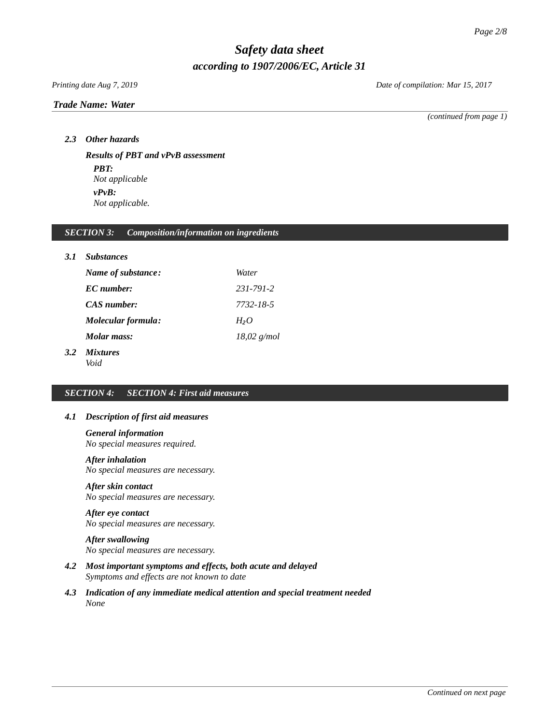## *Trade Name: [Water](#page-0-0)*

*Printing date Aug 7, 2019 Date of compilation: Mar 15, 2017*

*(continued from page 1)*

*2.3 Other hazards*

*Results of PBT and vPvB assessment PBT: Not applicable vPvB: Not applicable.*

## *SECTION 3: Composition/information on ingredients*

| 3.1 | <b>Substances</b>         |                  |
|-----|---------------------------|------------------|
|     | Name of substance:        | Water            |
|     | EC number:                | 231-791-2        |
|     | CAS number:               | 7732-18-5        |
|     | <b>Molecular formula:</b> | H <sub>2</sub> O |
|     | Molar mass:               | $18,02$ g/mol    |
|     |                           |                  |

#### *3.2 Mixtures Void*

# *SECTION 4: SECTION 4: First aid measures*

## *4.1 Description of first aid measures*

*General information*

*No special measures required.*

# *After inhalation*

*No special measures are necessary.* 

#### *After skin contact*

*No special measures are necessary.* 

# *After eye contact*

*No special measures are necessary.* 

# *After swallowing*

*No special measures are necessary.* 

- *4.2 Most important symptoms and effects, both acute and delayed Symptoms and effects are not known to date*
- *4.3 Indication of any immediate medical attention and special treatment needed None*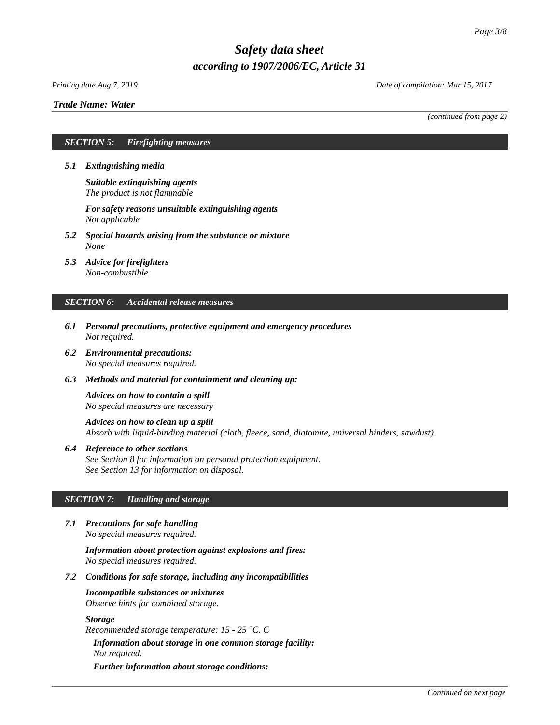#### *Printing date Aug 7, 2019 Date of compilation: Mar 15, 2017*

#### *Trade Name: [Water](#page-0-0)*

*(continued from page 2)*

#### *SECTION 5: Firefighting measures*

- *5.1 Extinguishing media*
	- *Suitable extinguishing agents The product is not flammable*

*For safety reasons unsuitable extinguishing agents Not applicable*

- *5.2 Special hazards arising from the substance or mixture None*
- *5.3 Advice for firefighters Non-combustible.*

#### *SECTION 6: Accidental release measures*

- *6.1 Personal precautions, protective equipment and emergency procedures Not required.*
- *6.2 Environmental precautions: No special measures required.*
- *6.3 Methods and material for containment and cleaning up:*

*Advices on how to contain a spill No special measures are necessary*

*Advices on how to clean up a spill Absorb with liquid-binding material (cloth, fleece, sand, diatomite, universal binders, sawdust).*

*6.4 Reference to other sections See Section 8 for information on personal protection equipment. See Section 13 for information on disposal.*

## *SECTION 7: Handling and storage*

*7.1 Precautions for safe handling No special measures required.*

> *Information about protection against explosions and fires: No special measures required.*

*7.2 Conditions for safe storage, including any incompatibilities*

*Incompatible substances or mixtures Observe hints for combined storage.*

#### *Storage*

*Recommended storage temperature: 15 - 25 °C. C*

*Information about storage in one common storage facility: Not required.*

*Further information about storage conditions:*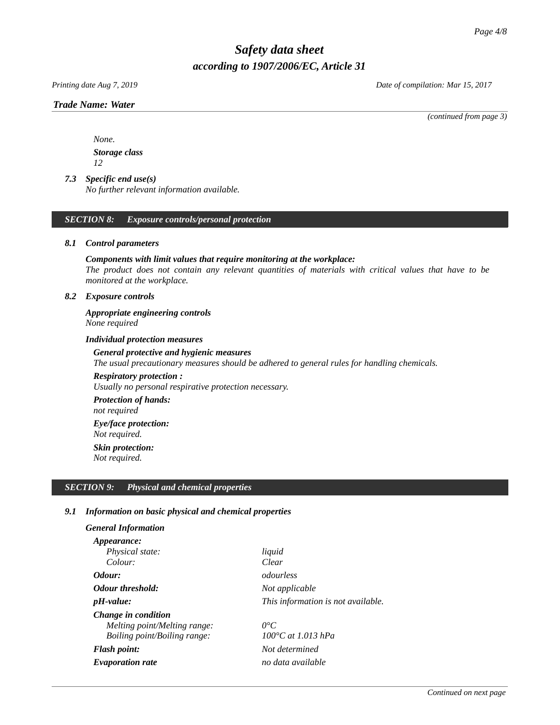*Printing date Aug 7, 2019 Date of compilation: Mar 15, 2017*

#### *Trade Name: [Water](#page-0-0)*

*(continued from page 3)*

*None. Storage class 12*

# *7.3 Specific end use(s)*

*No further relevant information available.*

#### *SECTION 8: Exposure controls/personal protection*

#### *8.1 Control parameters*

#### *Components with limit values that require monitoring at the workplace:*

*The product does not contain any relevant quantities of materials with critical values that have to be monitored at the workplace.*

#### *8.2 Exposure controls*

*Appropriate engineering controls None required*

#### *Individual protection measures*

# *General protective and hygienic measures The usual precautionary measures should be adhered to general rules for handling chemicals.*

## *Respiratory protection :*

*Usually no personal respirative protection necessary.* 

*Protection of hands: not required*

# *Eye/face protection:*

*Not required.*

*Skin protection:*

*Not required.*

#### *SECTION 9: Physical and chemical properties*

#### *9.1 Information on basic physical and chemical properties*

# *General Information*

| <i>Appearance:</i>           |                                    |
|------------------------------|------------------------------------|
| Physical state:              | liquid                             |
| Colour:                      | Clear                              |
| Odour:                       | odourless                          |
| <b>Odour threshold:</b>      | Not applicable                     |
| <i>pH-value:</i>             | This information is not available. |
| Change in condition          |                                    |
| Melting point/Melting range: | 0°C                                |
| Boiling point/Boiling range: | 100°C at 1.013 hPa                 |
| <b>Flash point:</b>          | Not determined                     |
| <b>Evaporation rate</b>      | no data available                  |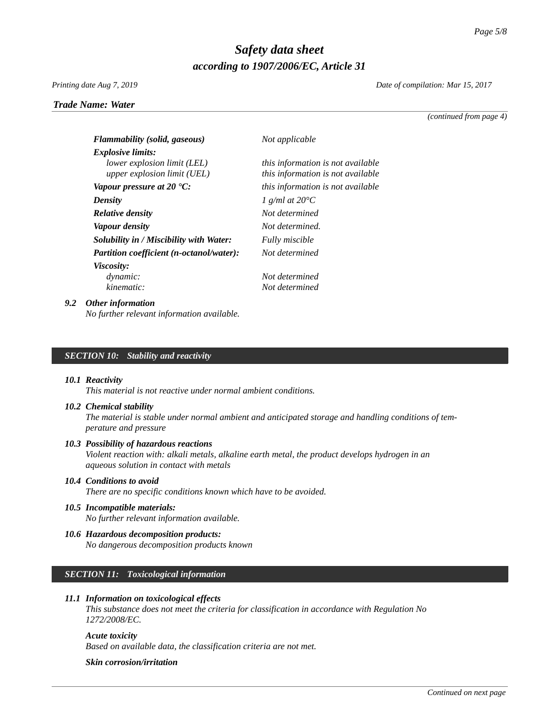#### *Printing date Aug 7, 2019 Date of compilation: Mar 15, 2017*

*Trade Name: [Water](#page-0-0)*

*(continued from page 4)*

| <b>Flammability (solid, gaseous)</b>     | Not applicable                    |
|------------------------------------------|-----------------------------------|
| <b>Explosive limits:</b>                 |                                   |
| lower explosion limit (LEL)              | this information is not available |
| upper explosion limit (UEL)              | this information is not available |
| Vapour pressure at 20 $^{\circ}$ C:      | this information is not available |
| <b>Density</b>                           | 1 $q/ml$ at 20 $^{\circ}C$        |
| <b>Relative density</b>                  | Not determined                    |
| Vapour density                           | Not determined.                   |
| Solubility in / Miscibility with Water:  | <b>Fully miscible</b>             |
| Partition coefficient (n-octanol/water): | Not determined                    |
| <i>Viscosity:</i>                        |                                   |
| dynamic:                                 | Not determined                    |
| kinematic:                               | Not determined                    |

#### *9.2 Other information*

*No further relevant information available.*

#### *SECTION 10: Stability and reactivity*

#### *10.1 Reactivity*

*This material is not reactive under normal ambient conditions.* 

#### *10.2 Chemical stability*

*The material is stable under normal ambient and anticipated storage and handling conditions of temperature and pressure*

#### *10.3 Possibility of hazardous reactions*

*Violent reaction with: alkali metals, alkaline earth metal, the product develops hydrogen in an aqueous solution in contact with metals*

#### *10.4 Conditions to avoid*

*There are no specific conditions known which have to be avoided.*

#### *10.5 Incompatible materials:*

*No further relevant information available.*

*10.6 Hazardous decomposition products: No dangerous decomposition products known*

# *SECTION 11: Toxicological information*

#### *11.1 Information on toxicological effects*

*This substance does not meet the criteria for classification in accordance with Regulation No 1272/2008/EC.* 

#### *Acute toxicity*

*Based on available data, the classification criteria are not met.*

#### *Skin corrosion/irritation*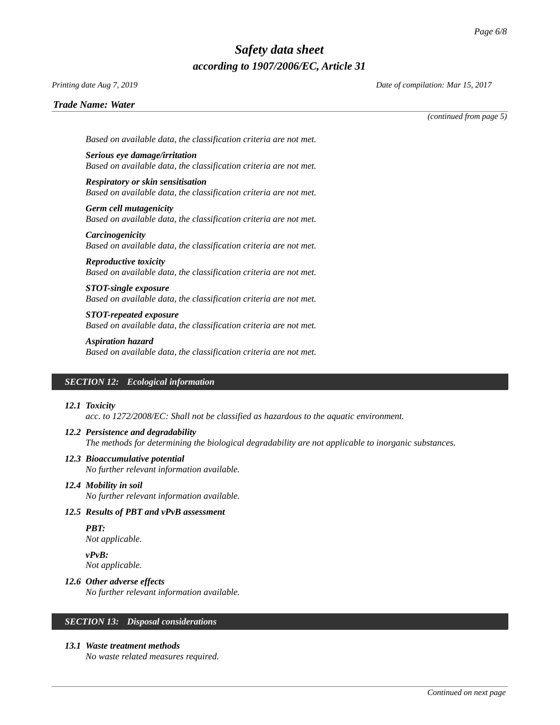# *Printing date Aug 7, 2019 Date of compilation: Mar 15, 2017*

*Trade Name: [Water](#page-0-0)*

*(continued from page 5)*

*Based on available data, the classification criteria are not met.*

*Serious eye damage/irritation Based on available data, the classification criteria are not met.*

*Respiratory or skin sensitisation Based on available data, the classification criteria are not met.*

*Germ cell mutagenicity Based on available data, the classification criteria are not met.*

*Carcinogenicity Based on available data, the classification criteria are not met.*

*Reproductive toxicity Based on available data, the classification criteria are not met.*

*STOT-single exposure Based on available data, the classification criteria are not met.*

*STOT-repeated exposure Based on available data, the classification criteria are not met.*

*Aspiration hazard Based on available data, the classification criteria are not met.*

#### *SECTION 12: Ecological information*

#### *12.1 Toxicity*

*acc. to 1272/2008/EC: Shall not be classified as hazardous to the aquatic environment.* 

#### *12.2 Persistence and degradability*

*The methods for determining the biological degradability are not applicable to inorganic substances.* 

# *12.3 Bioaccumulative potential*

*No further relevant information available.*

#### *12.4 Mobility in soil*

*No further relevant information available.*

#### *12.5 Results of PBT and vPvB assessment*

*PBT: Not applicable.*

*vPvB: Not applicable.*

#### *12.6 Other adverse effects*

*No further relevant information available.*

#### *SECTION 13: Disposal considerations*

#### *13.1 Waste treatment methods*

*No waste related measures required.*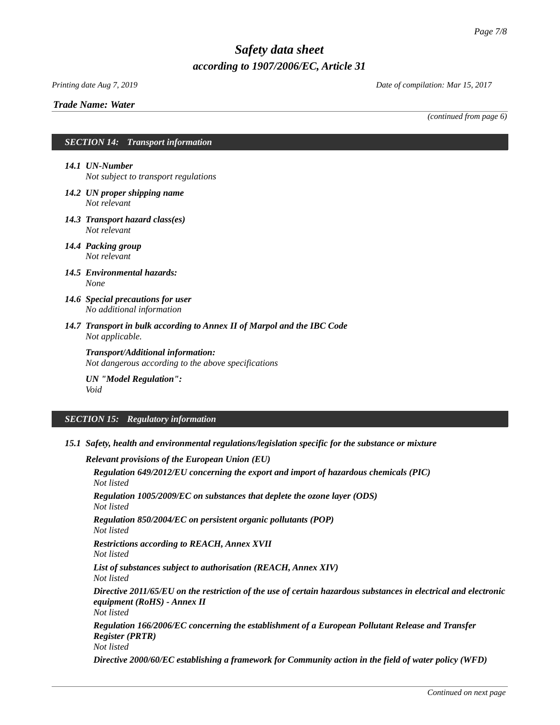# *Trade Name: [Water](#page-0-0)*

*Printing date Aug 7, 2019 Date of compilation: Mar 15, 2017*

*(continued from page 6)*

# *SECTION 14: Transport information*

*14.1 UN-Number Not subject to transport regulations*

- *14.2 UN proper shipping name Not relevant*
- *14.3 Transport hazard class(es) Not relevant*
- *14.4 Packing group Not relevant*
- *14.5 Environmental hazards: None*
- *14.6 Special precautions for user No additional information*
- *14.7 Transport in bulk according to Annex II of Marpol and the IBC Code Not applicable.*

*Transport/Additional information: Not dangerous according to the above specifications*

*UN "Model Regulation": Void*

# *SECTION 15: Regulatory information*

*15.1 Safety, health and environmental regulations/legislation specific for the substance or mixture*

*Relevant provisions of the European Union (EU) Regulation 649/2012/EU concerning the export and import of hazardous chemicals (PIC) Not listed Regulation 1005/2009/EC on substances that deplete the ozone layer (ODS) Not listed*

*Regulation 850/2004/EC on persistent organic pollutants (POP) Not listed*

*Restrictions according to REACH, Annex XVII*

*Not listed*

*List of substances subject to authorisation (REACH, Annex XIV)*

*Not listed*

*Directive 2011/65/EU on the restriction of the use of certain hazardous substances in electrical and electronic equipment (RoHS) - Annex II*

*Not listed*

*Regulation 166/2006/EC concerning the establishment of a European Pollutant Release and Transfer Register (PRTR) Not listed*

*Directive 2000/60/EC establishing a framework for Community action in the field of water policy (WFD)*